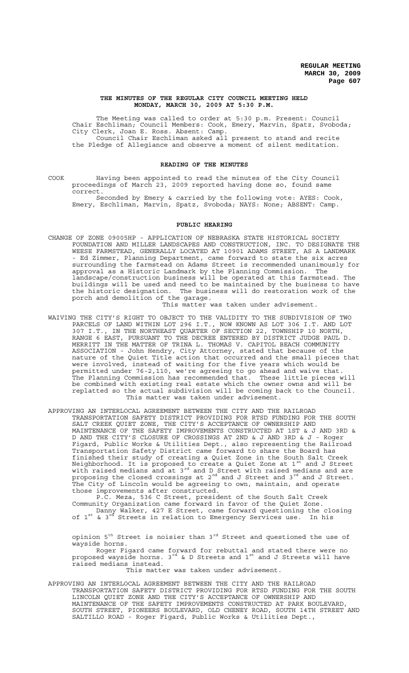### **THE MINUTES OF THE REGULAR CITY COUNCIL MEETING HELD MONDAY, MARCH 30, 2009 AT 5:30 P.M.**

The Meeting was called to order at 5:30 p.m. Present: Council Chair Eschliman; Council Members: Cook, Emery, Marvin, Spatz, Svoboda; City Clerk, Joan E. Ross. Absent: Camp. Council Chair Eschliman asked all present to stand and recite the Pledge of Allegiance and observe a moment of silent meditation.

# **READING OF THE MINUTES**

COOK Having been appointed to read the minutes of the City Council proceedings of March 23, 2009 reported having done so, found same correct.

Seconded by Emery & carried by the following vote: AYES: Cook, Emery, Eschliman, Marvin, Spatz, Svoboda; NAYS: None; ABSENT: Camp.

### **PUBLIC HEARING**

CHANGE OF ZONE 09005HP - APPLICATION OF NEBRASKA STATE HISTORICAL SOCIETY FOUNDATION AND MILLER LANDSCAPES AND CONSTRUCTION, INC. TO DESIGNATE THE WEESE FARMSTEAD, GENERALLY LOCATED AT 10901 ADAMS STREET, AS A LANDMARK - Ed Zimmer, Planning Department, came forward to state the six acres surrounding the farmstead on Adams Street is recommended unanimously for approval as a Historic Landmark by the Planning Commission. The landscape/construction business will be operated at this farmstead. The buildings will be used and need to be maintained by the business to have the historic designation. The business will do restoration work of the porch and demolition of the garage.

#### This matter was taken under advisement.

WAIVING THE CITY'S RIGHT TO OBJECT TO THE VALIDITY TO THE SUBDIVISION OF TWO PARCELS OF LAND WITHIN LOT 296 I.T., NOW KNOWN AS LOT 306 I.T. AND LOT 307 I.T., IN THE NORTHEAST QUARTER OF SECTION 22, TOWNSHIP 10 NORTH, RANGE 6 EAST, PURSUANT TO THE DECREE ENTERED BY DISTRICT JUDGE PAUL D. MERRITT IN THE MATTER OF TRINA L. THOMAS V. CAPITOL BEACH COMMUNITY ASSOCIATION - John Hendry, City Attorney, stated that because of the nature of the Quiet Title action that occurred and the small pieces that were involved, instead of waiting for the five years which would be permitted under 76-2,110, we're agreeing to go ahead and waive that. The Planning Commission has recommended that. These little pieces will be combined with existing real estate which the owner owns and will be replatted so the actual subdivision will be coming back to the Council. This matter was taken under advisement.

APPROVING AN INTERLOCAL AGREEMENT BETWEEN THE CITY AND THE RAILROAD TRANSPORTATION SAFETY DISTRICT PROVIDING FOR RTSD FUNDING FOR THE SOUTH SALT CREEK QUIET ZONE, THE CITY'S ACCEPTANCE OF OWNERSHIP AND MAINTENANCE OF THE SAFETY IMPROVEMENTS CONSTRUCTED AT 1ST & J AND 3RD & D AND THE CITY'S CLOSURE OF CROSSINGS AT 2ND & J AND 3RD & J - Roger Figard, Public Works & Utilities Dept., also representing the Railroad Transportation Safety District came forward to share the Board has finished their study of creating a Quiet Zone in the South Salt Creek Neighborhood. It is proposed to create a Quiet Zone at 1<sup>st</sup> and J Street with raised medians and at 3<sup>rd</sup> and D Street with raised medians and are proposing the closed crossings at 2 $^{\rm nd}$  and J Street and 3 $^{\rm rd}$  and J Street. The City of Lincoln would be agreeing to own, maintain, and operate those improvements after constructed.

P.C. Meza, 536 C Street, president of the South Salt Creek Community Organization came forward in favor of the Quiet Zone. Danny Walker, 427 E Street, came forward questioning the closing

of 1<sup>st</sup> & 3<sup>rd</sup> Streets in relation to Emergency Services use. In his

opinion  $5<sup>th</sup>$  Street is noisier than  $3<sup>rd</sup>$  Street and questioned the use of wayside horns.

Roger Figard came forward for rebuttal and stated there were no proposed wayside horns.  $3^{rd}$  & D Streets and  $1^{st}$  and J Streets will have raised medians instead.

This matter was taken under advisement.

APPROVING AN INTERLOCAL AGREEMENT BETWEEN THE CITY AND THE RAILROAD TRANSPORTATION SAFETY DISTRICT PROVIDING FOR RTSD FUNDING FOR THE SOUTH LINCOLN QUIET ZONE AND THE CITY'S ACCEPTANCE OF OWNERSHIP AND MAINTENANCE OF THE SAFETY IMPROVEMENTS CONSTRUCTED AT PARK BOULEVARD, SOUTH STREET, PIONEERS BOULEVARD, OLD CHENEY ROAD, SOUTH 14TH STREET AND SALTILLO ROAD - Roger Figard, Public Works & Utilities Dept.,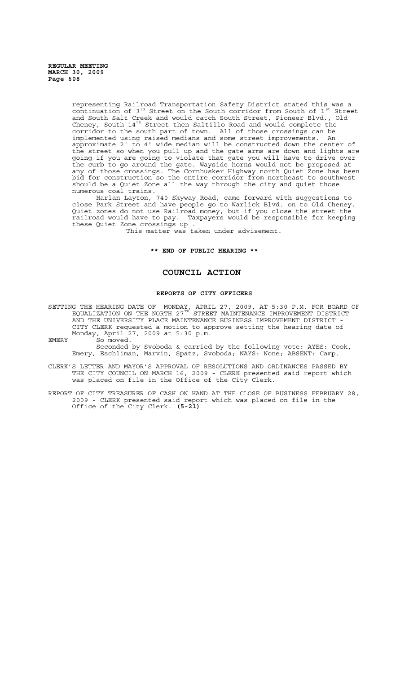representing Railroad Transportation Safety District stated this was a continuation of  $3^{rd}$  Street on the South corridor from South of  $1^{st}$  Street and South Salt Creek and would catch South Street, Pioneer Blvd., Old Cheney, South  $14^{th}$  Street then Saltillo Road and would complete the corridor to the south part of town. All of those crossings can be implemented using raised medians and some street improvements. An approximate 2' to 4' wide median will be constructed down the center of the street so when you pull up and the gate arms are down and lights are going if you are going to violate that gate you will have to drive over the curb to go around the gate. Wayside horns would not be proposed at any of those crossings. The Cornhusker Highway north Quiet Zone has been bid for construction so the entire corridor from northeast to southwest should be a Quiet Zone all the way through the city and quiet those numerous coal trains.

Harlan Layton, 740 Skyway Road, came forward with suggestions to close Park Street and have people go to Warlick Blvd. on to Old Cheney. Quiet zones do not use Railroad money, but if you close the street the railroad would have to pay. Taxpayers would be responsible for keeping these Quiet Zone crossings up .

This matter was taken under advisement.

#### **\*\* END OF PUBLIC HEARING \*\***

# **COUNCIL ACTION**

#### **REPORTS OF CITY OFFICERS**

SETTING THE HEARING DATE OF MONDAY, APRIL 27, 2009, AT 5:30 P.M. FOR BOARD OF EQUALIZATION ON THE NORTH 27 $^{\text{\tiny{\text{TH}}}}$  STREET MAINTENANCE IMPROVEMENT DISTRICT AND THE UNIVERSITY PLACE MAINTENANCE BUSINESS IMPROVEMENT DISTRICT CITY CLERK requested a motion to approve setting the hearing date of Monday, April 27, 2009 at 5:30 p.m.

EMERY So moved.

Seconded by Svoboda & carried by the following vote: AYES: Cook, Emery, Eschliman, Marvin, Spatz, Svoboda; NAYS: None; ABSENT: Camp.

CLERK'S LETTER AND MAYOR'S APPROVAL OF RESOLUTIONS AND ORDINANCES PASSED BY THE CITY COUNCIL ON MARCH 16, 2009 - CLERK presented said report which was placed on file in the Office of the City Clerk.

REPORT OF CITY TREASURER OF CASH ON HAND AT THE CLOSE OF BUSINESS FEBRUARY 28, 2009 - CLERK presented said report which was placed on file in the Office of the City Clerk. **(5-21)**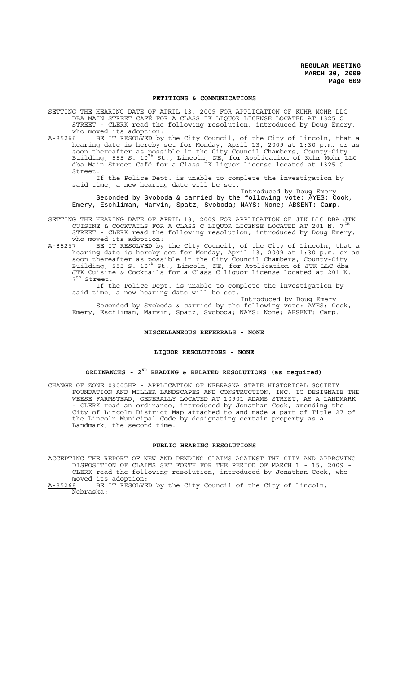#### **PETITIONS & COMMUNICATIONS**

SETTING THE HEARING DATE OF APRIL 13, 2009 FOR APPLICATION OF KUHR MOHR LLC DBA MAIN STREET CAFÉ FOR A CLASS IK LIQUOR LICENSE LOCATED AT 1325 O STREET - CLERK read the following resolution, introduced by Doug Emery, who moved its adoption:

A-85266 BE IT RESOLVED by the City Council, of the City of Lincoln, that a hearing date is hereby set for Monday, April 13, 2009 at 1:30 p.m. or as soon thereafter as possible in the City Council Chambers, County-City Building, 555 S. 10<sup>th</sup> St., Lincoln, NE, for Application of Kuhr Mohr LLC dba Main Street Café for a Class IK liquor license located at 1325 O Street.

If the Police Dept. is unable to complete the investigation by said time, a new hearing date will be set.

Introduced by Doug Emery Seconded by Svoboda & carried by the following vote: AYES: Cook, Emery, Eschliman, Marvin, Spatz, Svoboda; NAYS: None; ABSENT: Camp.

- SETTING THE HEARING DATE OF APRIL 13, 2009 FOR APPLICATION OF JTK LLC DBA JTK CUISINE & COCKTAILS FOR A CLASS C LIQUOR LICENSE LOCATED AT 201 N.  $7^{\text{th}}$ STREET - CLERK read the following resolution, introduced by Doug Emery, who moved its adoption:
- A-85267 BE IT RESOLVED by the City Council, of the City of Lincoln, that a hearing date is hereby set for Monday, April 13, 2009 at 1:30 p.m. or as soon thereafter as possible in the City Council Chambers, County-City Building, 555 S. 10<sup>th</sup> St., Lincoln, NE, for Application of JTK LLC dba JTK Cuisine & Cocktails for a Class C liquor license located at 201 N. 7<sup>th</sup> Street.

If the Police Dept. is unable to complete the investigation by said time, a new hearing date will be set.

Introduced by Doug Emery Seconded by Svoboda & carried by the following vote: AYES: Cook, Emery, Eschliman, Marvin, Spatz, Svoboda; NAYS: None; ABSENT: Camp.

### **MISCELLANEOUS REFERRALS - NONE**

# **LIQUOR RESOLUTIONS - NONE**

# **ORDINANCES - 2ND READING & RELATED RESOLUTIONS (as required)**

CHANGE OF ZONE 09005HP - APPLICATION OF NEBRASKA STATE HISTORICAL SOCIETY FOUNDATION AND MILLER LANDSCAPES AND CONSTRUCTION, INC. TO DESIGNATE THE WEESE FARMSTEAD, GENERALLY LOCATED AT 10901 ADAMS STREET, AS A LANDMARK ------<br>- CLERK read an ordinance, introduced by Jonathan Cook, amending the City of Lincoln District Map attached to and made a part of Title 27 of the Lincoln Municipal Code by designating certain property as a Landmark, the second time.

### **PUBLIC HEARING RESOLUTIONS**

ACCEPTING THE REPORT OF NEW AND PENDING CLAIMS AGAINST THE CITY AND APPROVING DISPOSITION OF CLAIMS SET FORTH FOR THE PERIOD OF MARCH 1 - 15, 2009 - CLERK read the following resolution, introduced by Jonathan Cook, who moved its adoption:<br>A-85268 BE IT RESOLVE

BE IT RESOLVED by the City Council of the City of Lincoln, Nebraska: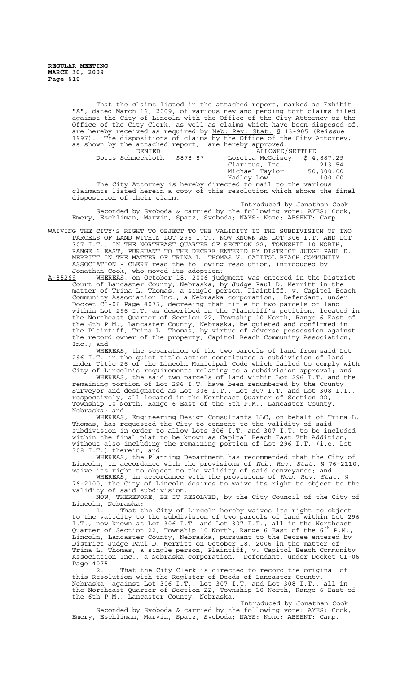That the claims listed in the attached report, marked as Exhibit "A", dated March 16, 2009, of various new and pending tort claims filed against the City of Lincoln with the Office of the City Attorney or the Office of the City Clerk, as well as claims which have been disposed of, are hereby received as required by Neb. Rev. Stat. § 13-905 (Reissue 1997). The dispositions of claims by the Office of the City Attorney, as shown by the attached report, are hereby approved:

| DENIED            |          | ALLOWED/SETTLED                                             |           |
|-------------------|----------|-------------------------------------------------------------|-----------|
| Doris Schneckloth | \$878.87 | Loretta McGeisey $$4,887.29$                                |           |
|                   |          | Claritus, Inc.                                              | 213.54    |
|                   |          | Michael Taylor                                              | 50,000.00 |
|                   |          | Hadley Low                                                  | 100.00    |
|                   |          | The City Attorney is hereby directed to mail to the various |           |

claimants listed herein a copy of this resolution which shows the final disposition of their claim.

Introduced by Jonathan Cook Seconded by Svoboda & carried by the following vote: AYES: Cook, Emery, Eschliman, Marvin, Spatz, Svoboda; NAYS: None; ABSENT: Camp.

- WAIVING THE CITY'S RIGHT TO OBJECT TO THE VALIDITY TO THE SUBDIVISION OF TWO PARCELS OF LAND WITHIN LOT 296 I.T., NOW KNOWN AS LOT 306 I.T. AND LOT 307 I.T., IN THE NORTHEAST QUARTER OF SECTION 22, TOWNSHIP 10 NORTH, RANGE 6 EAST, PURSUANT TO THE DECREE ENTERED BY DISTRICT JUDGE PAUL D. MERRITT IN THE MATTER OF TRINA L. THOMAS V. CAPITOL BEACH COMMUNITY ASSOCIATION - CLERK read the following resolution, introduced by Jonathan Cook, who moved its adoption:
- A-85269 WHEREAS, on October 18, 2006 judgment was entered in the District Court of Lancaster County, Nebraska, by Judge Paul D. Merritt in the matter of Trina L. Thomas, a single person, Plaintiff, v. Capitol Beach Community Association Inc., a Nebraska corporation, Defendant, under Docket CI-06 Page 4075, decreeing that title to two parcels of land within Lot 296 I.T. as described in the Plaintiff's petition, located in the Northeast Quarter of Section 22, Township 10 North, Range 6 East of the 6th P.M., Lancaster County, Nebraska, be quieted and confirmed in the Plaintiff, Trina L. Thomas, by virtue of adverse possession against the record owner of the property, Capitol Beach Community Association, Inc.; and

WHEREAS, the separation of the two parcels of land from said Lot 296 I.T. in the quiet title action constitutes a subdivision of land under Title 26 of the Lincoln Municipal Code which failed to comply with City of Lincoln's requirements relating to a subdivision approval; and

WHEREAS, the said two parcels of land within Lot 296 I.T. and the remaining portion of Lot 296 I.T. have been renumbered by the County Surveyor and designated as Lot 306 I.T., Lot 307 I.T. and Lot 308 I.T., respectively, all located in the Northeast Quarter of Section 22, Township 10 North, Range 6 East of the 6th P.M., Lancaster County, Nebraska; and

WHEREAS, Engineering Design Consultants LLC, on behalf of Trina L. Thomas, has requested the City to consent to the validity of said<br>subdivision in order to allow Lots 306 I.T. and 307 I.T. to be included subdivision in order to allow Lots 306 I.T. and 307 I.T. to be included within the final plat to be known as Capital Beach East 7th Addition, without also including the remaining portion of Lot 296 I.T. (i.e. Lot 308 I.T.) therein; and<br>WHEREAS, the Pla

Planning Department has recommended that the City of Lincoln, in accordance with the provisions of *Neb. Rev. Stat.* § 76-2110, waive its right to object to the validity of said conveyance; and

WHEREAS, in accordance with the provisions of *Neb. Rev. Stat.* § 76-2100, the City of Lincoln desires to waive its right to object to the validity of said subdivision.

NOW, THEREFORE, BE IT RESOLVED, by the City Council of the City of Lincoln, Nebraska:

1. That the City of Lincoln hereby waives its right to object to the validity to the subdivision of two parcels of land within Lot 296 I.T., now known as Lot 306 I.T. and Lot 307 I.T., all in the Northeast Quarter of Section 22, Township 10 North, Range 6 East of the  $6^\text{th}$  P.M., Lincoln, Lancaster County, Nebraska, pursuant to the Decree entered by District Judge Paul D. Merritt on October 18, 2006 in the matter of Trina L. Thomas, a single person, Plaintiff, v. Capitol Beach Community Association Inc., a Nebraska corporation, Defendant, under Docket CI-06 Page 4075.

2. That the City Clerk is directed to record the original of this Resolution with the Register of Deeds of Lancaster County,<br>Nebraska, against Lot 306 I.T., Lot 307 I.T. and Lot 308 I.T., all in Nebraska, against Lot 306 I.T., Lot 307 I.T. and Lot 308 I.T., the Northeast Quarter of Section 22, Township 10 North, Range 6 East of the 6th P.M., Lancaster County, Nebraska.

Introduced by Jonathan Cook Seconded by Svoboda & carried by the following vote: AYES: Cook, Emery, Eschliman, Marvin, Spatz, Svoboda; NAYS: None; ABSENT: Camp.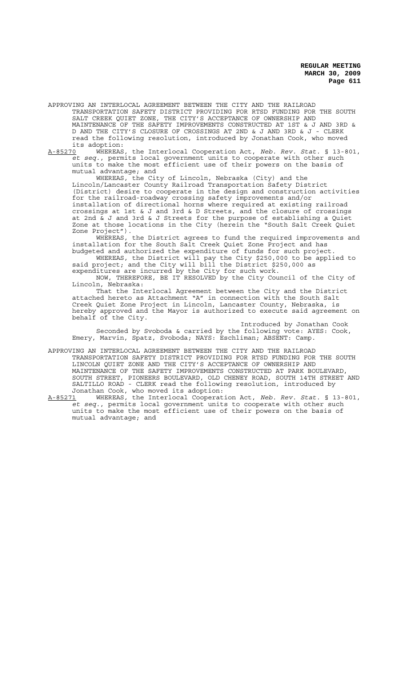APPROVING AN INTERLOCAL AGREEMENT BETWEEN THE CITY AND THE RAILROAD TRANSPORTATION SAFETY DISTRICT PROVIDING FOR RTSD FUNDING FOR THE SOUTH SALT CREEK QUIET ZONE, THE CITY'S ACCEPTANCE OF OWNERSHIP AND MAINTENANCE OF THE SAFETY IMPROVEMENTS CONSTRUCTED AT 1ST & J AND 3RD & D AND THE CITY'S CLOSURE OF CROSSINGS AT 2ND & J AND 3RD & J - CLERK read the following resolution, introduced by Jonathan Cook, who moved its adoption:

A-85270 WHEREAS, the Interlocal Cooperation Act, *Neb. Rev. Stat.* § 13-801, *et seq.*, permits local government units to cooperate with other such units to make the most efficient use of their powers on the basis of mutual advantage; and

WHEREAS, the City of Lincoln, Nebraska (City) and the Lincoln/Lancaster County Railroad Transportation Safety District (District) desire to cooperate in the design and construction activities for the railroad-roadway crossing safety improvements and/or installation of directional horns where required at existing railroad crossings at 1st & J and 3rd & D Streets, and the closure of crossings at 2nd & J and 3rd & J Streets for the purpose of establishing a Quiet Zone at those locations in the City (herein the "South Salt Creek Quiet Zone Project").

WHEREAS, the District agrees to fund the required improvements and installation for the South Salt Creek Quiet Zone Project and has budgeted and authorized the expenditure of funds for such project.

WHEREAS, the District will pay the City \$250,000 to be applied to said project; and the City will bill the District \$250,000 as expenditures are incurred by the City for such work.

NOW, THEREFORE, BE IT RESOLVED by the City Council of the City of Lincoln, Nebraska:

That the Interlocal Agreement between the City and the District attached hereto as Attachment "A" in connection with the South Salt Creek Quiet Zone Project in Lincoln, Lancaster County, Nebraska, is hereby approved and the Mayor is authorized to execute said agreement on behalf of the City.

Introduced by Jonathan Cook Seconded by Svoboda & carried by the following vote: AYES: Cook, Emery, Marvin, Spatz, Svoboda; NAYS: Eschliman; ABSENT: Camp.

APPROVING AN INTERLOCAL AGREEMENT BETWEEN THE CITY AND THE RAILROAD TRANSPORTATION SAFETY DISTRICT PROVIDING FOR RTSD FUNDING FOR THE SOUTH LINCOLN QUIET ZONE AND THE CITY'S ACCEPTANCE OF OWNERSHIP AND MAINTENANCE OF THE SAFETY IMPROVEMENTS CONSTRUCTED AT PARK BOULEVARD, SOUTH STREET, PIONEERS BOULEVARD, OLD CHENEY ROAD, SOUTH 14TH STREET AND SALTILLO ROAD - CLERK read the following resolution, introduced by Jonathan Cook, who moved its adoption:

A-85271 WHEREAS, the Interlocal Cooperation Act, *Neb. Rev. Stat.* § 13-801, *et seq.*, permits local government units to cooperate with other such units to make the most efficient use of their powers on the basis of mutual advantage; and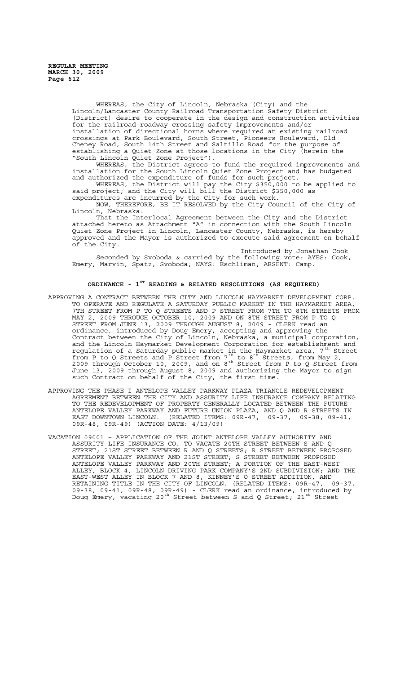WHEREAS, the City of Lincoln, Nebraska (City) and the Lincoln/Lancaster County Railroad Transportation Safety District (District) desire to cooperate in the design and construction activities for the railroad-roadway crossing safety improvements and/or installation of directional horns where required at existing railroad crossings at Park Boulevard, South Street, Pioneers Boulevard, Old Cheney Road, South 14th Street and Saltillo Road for the purpose of establishing a Quiet Zone at those locations in the City (herein the "South Lincoln Quiet Zone Project").

WHEREAS, the District agrees to fund the required improvements and installation for the South Lincoln Quiet Zone Project and has budgeted and authorized the expenditure of funds for such project.

WHEREAS, the District will pay the City \$350,000 to be applied to said project; and the City will bill the District \$350,000 as expenditures are incurred by the City for such work.

NOW, THEREFORE, BE IT RESOLVED by the City Council of the City of Lincoln, Nebraska:

That the Interlocal Agreement between the City and the District attached hereto as Attachment "A" in connection with the South Lincoln Quiet Zone Project in Lincoln, Lancaster County, Nebraska, is hereby approved and the Mayor is authorized to execute said agreement on behalf of the City.

Introduced by Jonathan Cook Seconded by Svoboda & carried by the following vote: AYES: Cook, Emery, Marvin, Spatz, Svoboda; NAYS: Eschliman; ABSENT: Camp.

# **ORDINANCE - 1ST READING & RELATED RESOLUTIONS (AS REQUIRED)**

- APPROVING A CONTRACT BETWEEN THE CITY AND LINCOLN HAYMARKET DEVELOPMENT CORP. TO OPERATE AND REGULATE A SATURDAY PUBLIC MARKET IN THE HAYMARKET AREA, 7TH STREET FROM P TO Q STREETS AND P STREET FROM 7TH TO 8TH STREETS FROM MAY 2, 2009 THROUGH OCTOBER 10, 2009 AND ON 8TH STREET FROM P TO Q STREET FROM JUNE 13, 2009 THROUGH AUGUST 8, 2009 - CLERK read an ordinance, introduced by Doug Emery, accepting and approving the Contract between the City of Lincoln, Nebraska, a municipal corporation, and the Lincoln Haymarket Development Corporation for establishment and regulation of a Saturday public market in the Haymarket area, 7<sup>th</sup> Street from P to Q Streets and P Street from  $7^{th}$  to 8<sup>th</sup> Streets, from May 2, 2009 through October 10, 2009, and on 8<sup>th</sup> Street from P to Q Street from June 13, 2009 through August 8, 2009 and authorizing the Mayor to sign such Contract on behalf of the City, the first time.
- APPROVING THE PHASE I ANTELOPE VALLEY PARKWAY PLAZA TRIANGLE REDEVELOPMENT AGREEMENT BETWEEN THE CITY AND ASSURITY LIFE INSURANCE COMPANY RELATING TO THE REDEVELOPMENT OF PROPERTY GENERALLY LOCATED BETWEEN THE FUTURE ANTELOPE VALLEY PARKWAY AND FUTURE UNION PLAZA, AND Q AND R STREETS IN<br>EAST DOWNTOWN LINCOLN. (RELATED ITEMS: 09R-47. 09-37. 09-38. 09-41. EAST DOWNTOWN LINCOLN. (RELATED ITEMS: 09R-47, 09-37, 09R-48, 09R-49) (ACTION DATE: 4/13/09)
- VACATION 09001 APPLICATION OF THE JOINT ANTELOPE VALLEY AUTHORITY AND ASSURITY LIFE INSURANCE CO. TO VACATE 20TH STREET BETWEEN S AND Q STREET; 21ST STREET BETWEEN R AND Q STREETS; R STREET BETWEEN PROPOSED ANTELOPE VALLEY PARKWAY AND 21ST STREET; S STREET BETWEEN PROPOSED ANTELOPE VALLEY PARKWAY AND 20TH STREET; A PORTION OF THE EAST-WEST ALLEY, BLOCK 4, LINCOLN DRIVING PARK COMPANY'S 2ND SUBDIVISION; AND THE EAST-WEST ALLEY IN BLOCK 7 AND 8, KINNEY'S O STREET ADDITION, AND RETAINING TITLE IN THE CITY OF LINCOLN. (RELATED ITEMS: 09R-47, 09-37, 09-38, 09-41, 09R-48, 09R-49) - CLERK read an ordinance, introduced by Doug Emery, vacating 20<sup>th</sup> Street between S and Q Street, 21<sup>st</sup> Street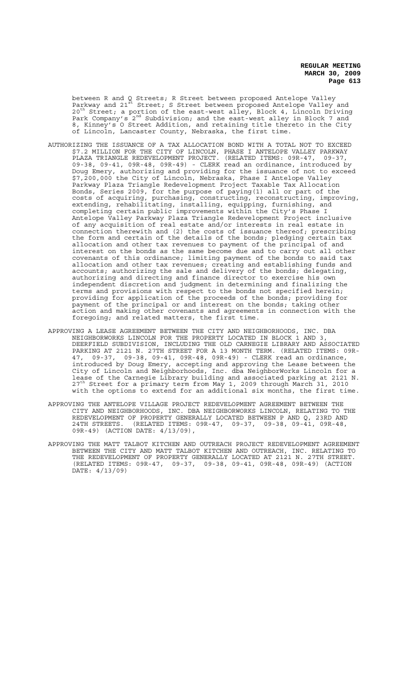between R and Q Streets; R Street between proposed Antelope Valley Parkway and 21 $^{\tilde{\mathfrak{sl}}}$  Street; S Street between proposed Antelope Valley and 20<sup>th</sup> Street; a portion of the east-west alley, Block 4, Lincoln Driving Park Company's  $2^{nd}$  Subdivision; and the east-west alley in Block 7 and 8, Kinney's O Street Addition, and retaining title thereto in the City of Lincoln, Lancaster County, Nebraska, the first time.

- AUTHORIZING THE ISSUANCE OF A TAX ALLOCATION BOND WITH A TOTAL NOT TO EXCEED \$7.2 MILLION FOR THE CITY OF LINCOLN, PHASE I ANTELOPE VALLEY PARKWAY PLAZA TRIANGLE REDEVELOPMENT PROJECT. (RELATED ITEMS: 09R-47, 09-37, 09-38, 09-41, 09R-48, 09R-49) - CLERK read an ordinance, introduced by Doug Emery, authorizing and providing for the issuance of not to exceed \$7,200,000 the City of Lincoln, Nebraska, Phase I Antelope Valley Parkway Plaza Triangle Redevelopment Project Taxable Tax Allocation Bonds, Series 2009, for the purpose of paying(1) all or part of the costs of acquiring, purchasing, constructing, reconstructing, improving, extending, rehabilitating, installing, equipping, furnishing, and completing certain public improvements within the City's Phase I Antelope Valley Parkway Plaza Triangle Redevelopment Project inclusive of any acquisition of real estate and/or interests in real estate in connection therewith and (2) the costs of issuance thereof; prescribing the form and certain of the details of the bonds; pledging certain tax allocation and other tax revenues to payment of the principal of and interest on the bonds as the same become due and to carry out all other covenants of this ordinance; limiting payment of the bonds to said tax allocation and other tax revenues; creating and establishing funds and accounts; authorizing the sale and delivery of the bonds; delegating,<br>authorizing and directing and finance director to exercise his own authorizing and directing and finance director to exercise his independent discretion and judgment in determining and finalizing the terms and provisions with respect to the bonds not specified herein; providing for application of the proceeds of the bonds; providing for payment of the principal or and interest on the bonds; taking other action and making other covenants and agreements in connection with the foregoing; and related matters, the first time.
- APPROVING A LEASE AGREEMENT BETWEEN THE CITY AND NEIGHBORHOODS, INC. DBA NEIGHBORWORKS LINCOLN FOR THE PROPERTY LOCATED IN BLOCK 1 AND 3, DEERFIELD SUBDIVISION, INCLUDING THE OLD CARNEGIE LIBRARY AND ASSOCIATED PARKING AT 2121 N. 27TH STREET FOR A 13 MONTH TERM. (RELATED ITEMS: 09R-47, 09-37, 09-38, 09-41, 09R-48, 09R-49) - CLERK read an ordinance, introduced by Doug Emery, accepting and approving the Lease between the City of Lincoln and Neighborhoods, Inc. dba NeighborWorks Lincoln for a lease of the Carnegie Library building and associated parking at 2121 N. 27<sup>th</sup> Street for a primary term from May 1, 2009 through March 31, 2010 with the options to extend for an additional six months, the first time.
- APPROVING THE ANTELOPE VILLAGE PROJECT REDEVELOPMENT AGREEMENT BETWEEN THE CITY AND NEIGHBORHOODS, INC. DBA NEIGHBORWORKS LINCOLN, RELATING TO THE REDEVELOPMENT OF PROPERTY GENERALLY LOCATED BETWEEN PAND Q, 23RD AND<br>24TH STREETS. (RELATED ITEMS: 09R-47, 09-37, 09-38, 09-41, 09R-48, (RELATED ITEMS: 09R-47, 09-37, 09-38, 09-41, 09R-48, 09R-49) (ACTION DATE: 4/13/09),
- APPROVING THE MATT TALBOT KITCHEN AND OUTREACH PROJECT REDEVELOPMENT AGREEMENT BETWEEN THE CITY AND MATT TALBOT KITCHEN AND OUTREACH, INC. RELATING TO THE REDEVELOPMENT OF PROPERTY GENERALLY LOCATED AT 2121 N. 27TH STREET. (RELATED ITEMS: 09R-47, 09-37, 09-38, 09-41, 09R-48, 09R-49) (ACTION DATE: 4/13/09)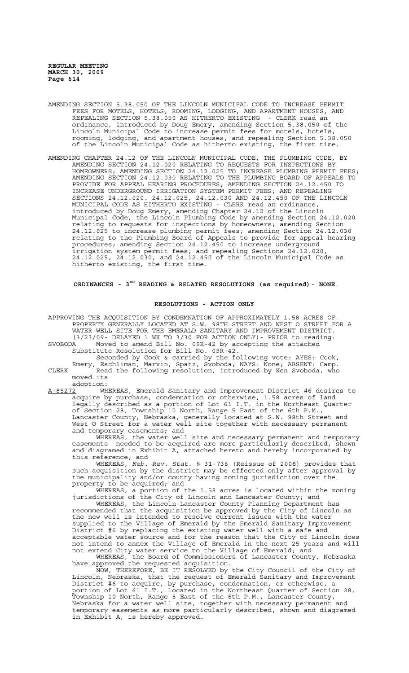- AMENDING SECTION 5.38.050 OF THE LINCOLN MUNICIPAL CODE TO INCREASE PERMIT FEES FOR MOTELS, HOTELS, ROOMING, LODGING, AND APARTMENT HOUSES, AND REPEALING SECTION 5.38.050 AS HITHERTO EXISTING - CLERK read an ordinance, introduced by Doug Emery, amending Section 5.38.050 of the Lincoln Municipal Code to increase permit fees for motels, hotels, rooming, lodging, and apartment houses; and repealing Section 5.38.050 of the Lincoln Municipal Code as hitherto existing, the first time.
- AMENDING CHAPTER 24.12 OF THE LINCOLN MUNICIPAL CODE, THE PLUMBING CODE, BY AMENDING SECTION 24.12.020 RELATING TO REQUESTS FOR INSPECTIONS BY HOMEOWNERS; AMENDING SECTION 24.12.025 TO INCREASE PLUMBING PERMIT FEES; AMENDING SECTION 24.12.030 RELATING TO THE PLUMBING BOARD OF APPEALS TO PROVIDE FOR APPEAL HEARING PROCEDURES; AMENDING SECTION 24.12.450 TO INCREASE UNDERGROUND IRRIGATION SYSTEM PERMIT FEES; AND REPEALING SECTIONS 24.12.020. 24.12.025, 24.12.030 AND 24.12.450 OF THE LINCOLN MUNICIPAL CODE AS HITHERTO EXISTING - CLERK read an ordinance, introduced by Doug Emery, amending Chapter 24.12 of the Lincoln Municipal Code, the Lincoln Plumbing Code by amending Section 24.12.020 relating to requests for inspections by homeowners; amending Section 24.12.025 to increase plumbing permit fees; amending Section 24.12.030 relating to the Plumbing Board of Appeals to provide for appeal hearing procedures; amending Section 24.12.450 to increase underground irrigation system permit fees; and repealing Sections 24.12.020, 24.12.025, 24.12.030, and 24.12.450 of the Lincoln Municipal Code as hitherto existing, the first time.

**ORDINANCES - 3RD READING & RELATED RESOLUTIONS (as required)**- **NONE**

### **RESOLUTIONS - ACTION ONLY**

APPROVING THE ACQUISITION BY CONDEMNATION OF APPROXIMATELY 1.58 ACRES OF PROPERTY GENERALLY LOCATED AT S.W. 98TH STREET AND WEST O STREET FOR A WATER WELL SITE FOR THE EMERALD SANITARY AND IMPROVEMENT DISTRICT. (3/23/09- DELAYED 1 WK TO 3/30 FOR ACTION ONLY)- PRIOR to reading:

SVOBODA Moved to amend Bill No. 09R-42 by accepting the attached Substitute Resolution for Bill No. 09R-42.

Seconded by Cook & carried by the following vote: AYES: Cook, Emery, Eschliman, Marvin, Spatz, Svoboda; NAYS: None; ABSENT: Camp. CLERK Read the following resolution, introduced by Ken Svoboda, who moved its

adoption:<br>A-85272 WH WHEREAS, Emerald Sanitary and Improvement District #6 desires to acquire by purchase, condemnation or otherwise, 1.58 acres of land legally described as a portion of Lot 61 I.T. in the Northeast Quarter of Section 28, Township 10 North, Range 5 East of the 6th P.M., Lancaster County, Nebraska, generally located at S.W. 98th Street and West O Street for a water well site together with necessary permanent and temporary easements; and

WHEREAS, the water well site and necessary permanent and temporary easements needed to be acquired are more particularly described, shown and diagramed in Exhibit A, attached hereto and hereby incorporated by this reference; and

WHEREAS, *Neb. Rev. Stat.* § 31-736 (Reissue of 2008) provides that such acquisition by the district may be effected only after approval by the municipality and/or county having zoning jurisdiction over the property to be acquired; and

WHEREAS, a portion of the 1.58 acres is located within the zoning jurisdictions of the City of Lincoln and Lancaster County; and

WHEREAS, the Lincoln-Lancaster County Planning Department has recommended that the acquisition be approved by the City of Lincoln as the new well is intended to resolve current issues with the water supplied to the Village of Emerald by the Emerald Sanitary Improvement District #6 by replacing the existing water well with a safe and acceptable water source and for the reason that the City of Lincoln does not intend to annex the Village of Emerald in the next 25 years and will not extend City water service to the Village of Emerald; and

WHEREAS, the Board of Commissioners of Lancaster County, Nebraska have approved the requested acquisition.

NOW, THEREFORE, BE IT RESOLVED by the City Council of the City of Lincoln, Nebraska, that the request of Emerald Sanitary and Improvement District #6 to acquire, by purchase, condemnation, or otherwise, a portion of Lot 61 I.T., located in the Northeast Quarter of Section 28, Township 10 North, Range 5 East of the 6th P.M., Lancaster County, Nebraska for a water well site, together with necessary permanent and temporary easements as more particularly described, shown and diagramed in Exhibit A, is hereby approved.